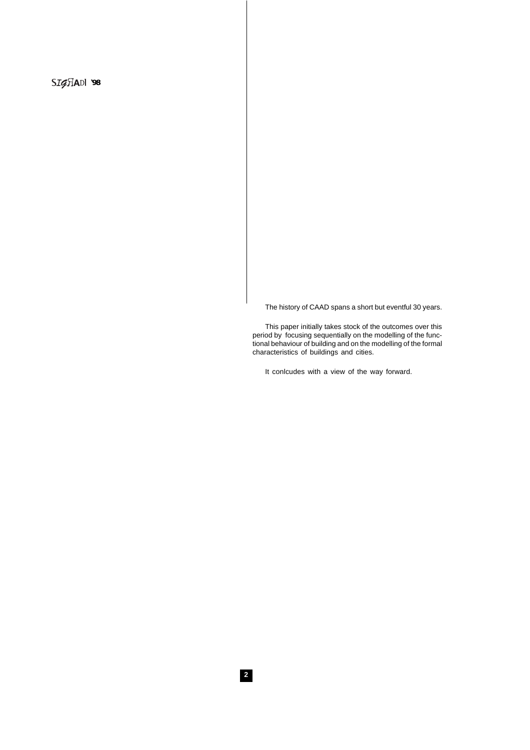SIGHADI 98

The history of CAAD spans a short but eventful 30 years.

This paper initially takes stock of the outcomes over this period by focusing sequentially on the modelling of the functional behaviour of building and on the modelling of the formal characteristics of buildings and cities.

It conlcudes with a view of the way forward.

**2**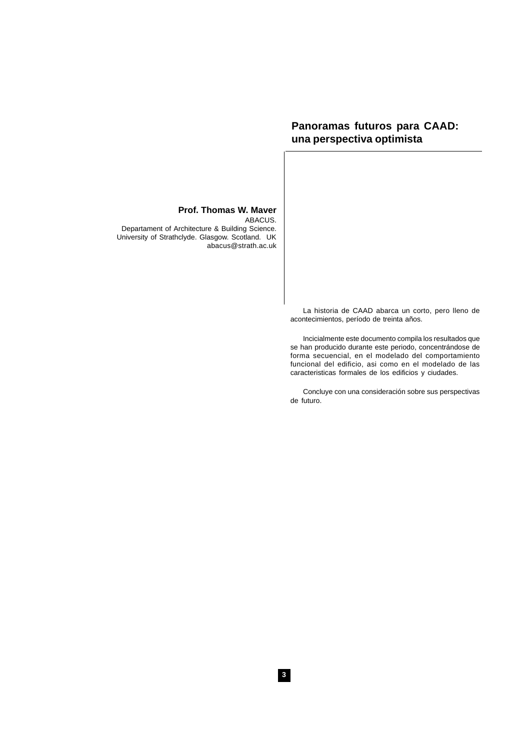# **Panoramas futuros para CAAD: una perspectiva optimista**

# **Prof. Thomas W. Maver**

ABACUS. Departament of Architecture & Building Science. University of Strathclyde. Glasgow. Scotland. UK abacus@strath.ac.uk

> La historia de CAAD abarca un corto, pero lleno de acontecimientos, período de treinta años.

> Incicialmente este documento compila los resultados que se han producido durante este periodo, concentrándose de forma secuencial, en el modelado del comportamiento funcional del edificio, asi como en el modelado de las caracteristicas formales de los edificios y ciudades.

> Concluye con una consideración sobre sus perspectivas de futuro.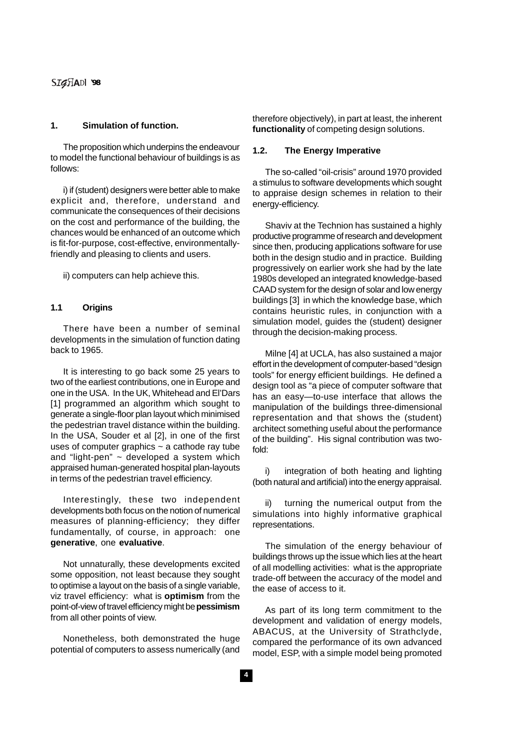SIGHADI 98

# **1. Simulation of function.**

The proposition which underpins the endeavour to model the functional behaviour of buildings is as follows:

i) if (student) designers were better able to make explicit and, therefore, understand and communicate the consequences of their decisions on the cost and performance of the building, the chances would be enhanced of an outcome which is fit-for-purpose, cost-effective, environmentallyfriendly and pleasing to clients and users.

ii) computers can help achieve this.

### **1.1 Origins**

There have been a number of seminal developments in the simulation of function dating back to 1965.

It is interesting to go back some 25 years to two of the earliest contributions, one in Europe and one in the USA. In the UK, Whitehead and El'Dars [1] programmed an algorithm which sought to generate a single-floor plan layout which minimised the pedestrian travel distance within the building. In the USA, Souder et al [2], in one of the first uses of computer graphics  $\sim$  a cathode ray tube and "light-pen"  $\sim$  developed a system which appraised human-generated hospital plan-layouts in terms of the pedestrian travel efficiency.

Interestingly, these two independent developments both focus on the notion of numerical measures of planning-efficiency; they differ fundamentally, of course, in approach: one **generative**, one **evaluative**.

Not unnaturally, these developments excited some opposition, not least because they sought to optimise a layout on the basis of a single variable, viz travel efficiency: what is **optimism** from the point-of-view of travel efficiency might be **pessimism** from all other points of view.

Nonetheless, both demonstrated the huge potential of computers to assess numerically (and therefore objectively), in part at least, the inherent **functionality** of competing design solutions.

## **1.2. The Energy Imperative**

The so-called "oil-crisis" around 1970 provided a stimulus to software developments which sought to appraise design schemes in relation to their energy-efficiency.

Shaviv at the Technion has sustained a highly productive programme of research and development since then, producing applications software for use both in the design studio and in practice. Building progressively on earlier work she had by the late 1980s developed an integrated knowledge-based CAAD system for the design of solar and low energy buildings [3] in which the knowledge base, which contains heuristic rules, in conjunction with a simulation model, guides the (student) designer through the decision-making process.

Milne [4] at UCLA, has also sustained a major effort in the development of computer-based "design tools" for energy efficient buildings. He defined a design tool as "a piece of computer software that has an easy—to-use interface that allows the manipulation of the buildings three-dimensional representation and that shows the (student) architect something useful about the performance of the building". His signal contribution was twofold:

i) integration of both heating and lighting (both natural and artificial) into the energy appraisal.

ii) turning the numerical output from the simulations into highly informative graphical representations.

The simulation of the energy behaviour of buildings throws up the issue which lies at the heart of all modelling activities: what is the appropriate trade-off between the accuracy of the model and the ease of access to it.

As part of its long term commitment to the development and validation of energy models, ABACUS, at the University of Strathclyde, compared the performance of its own advanced model, ESP, with a simple model being promoted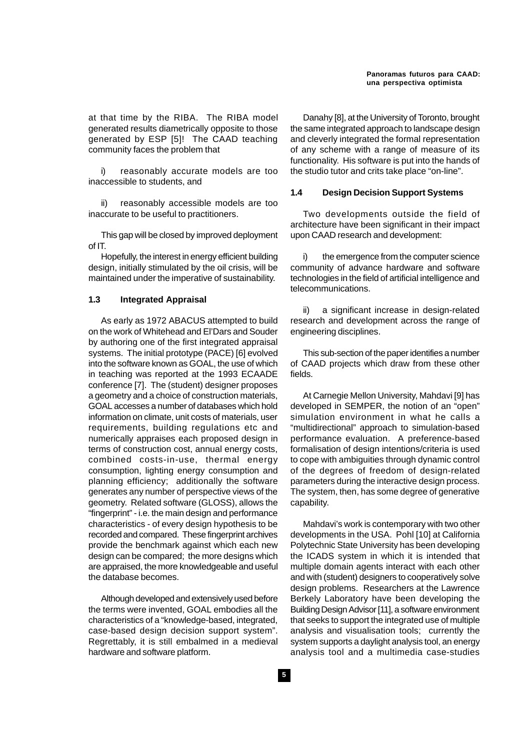at that time by the RIBA. The RIBA model generated results diametrically opposite to those generated by ESP [5]! The CAAD teaching community faces the problem that

i) reasonably accurate models are too inaccessible to students, and

ii) reasonably accessible models are too inaccurate to be useful to practitioners.

This gap will be closed by improved deployment of IT.

Hopefully, the interest in energy efficient building design, initially stimulated by the oil crisis, will be maintained under the imperative of sustainability.

### **1.3 Integrated Appraisal**

As early as 1972 ABACUS attempted to build on the work of Whitehead and El'Dars and Souder by authoring one of the first integrated appraisal systems. The initial prototype (PACE) [6] evolved into the software known as GOAL, the use of which in teaching was reported at the 1993 ECAADE conference [7]. The (student) designer proposes a geometry and a choice of construction materials, GOAL accesses a number of databases which hold information on climate, unit costs of materials, user requirements, building regulations etc and numerically appraises each proposed design in terms of construction cost, annual energy costs, combined costs-in-use, thermal energy consumption, lighting energy consumption and planning efficiency; additionally the software generates any number of perspective views of the geometry. Related software (GLOSS), allows the "fingerprint" - i.e. the main design and performance characteristics - of every design hypothesis to be recorded and compared. These fingerprint archives provide the benchmark against which each new design can be compared; the more designs which are appraised, the more knowledgeable and useful the database becomes.

Although developed and extensively used before the terms were invented, GOAL embodies all the characteristics of a "knowledge-based, integrated, case-based design decision support system". Regrettably, it is still embalmed in a medieval hardware and software platform.

Danahy [8], at the University of Toronto, brought the same integrated approach to landscape design and cleverly integrated the formal representation of any scheme with a range of measure of its functionality. His software is put into the hands of the studio tutor and crits take place "on-line".

### **1.4 Design Decision Support Systems**

Two developments outside the field of architecture have been significant in their impact upon CAAD research and development:

the emergence from the computer science community of advance hardware and software technologies in the field of artificial intelligence and telecommunications.

ii) a significant increase in design-related research and development across the range of engineering disciplines.

This sub-section of the paper identifies a number of CAAD projects which draw from these other fields.

At Carnegie Mellon University, Mahdavi [9] has developed in SEMPER, the notion of an "open" simulation environment in what he calls a "multidirectional" approach to simulation-based performance evaluation. A preference-based formalisation of design intentions/criteria is used to cope with ambiguities through dynamic control of the degrees of freedom of design-related parameters during the interactive design process. The system, then, has some degree of generative capability.

Mahdavi's work is contemporary with two other developments in the USA. Pohl [10] at California Polytechnic State University has been developing the ICADS system in which it is intended that multiple domain agents interact with each other and with (student) designers to cooperatively solve design problems. Researchers at the Lawrence Berkely Laboratory have been developing the Building Design Advisor [11], a software environment that seeks to support the integrated use of multiple analysis and visualisation tools; currently the system supports a daylight analysis tool, an energy analysis tool and a multimedia case-studies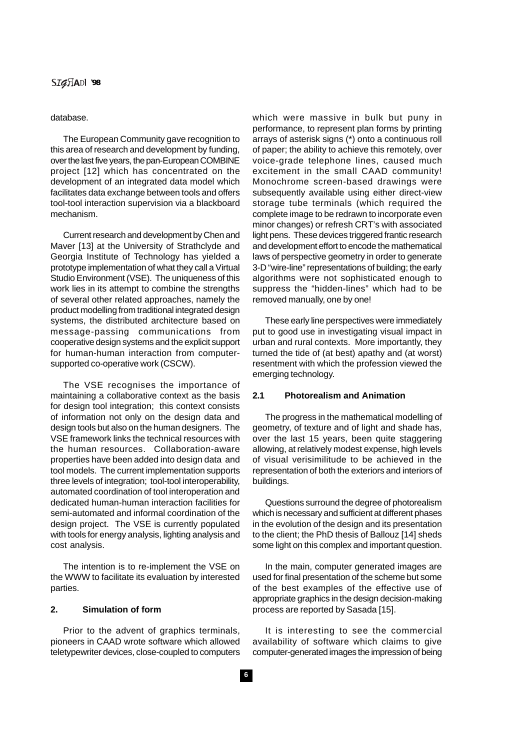# SIGHADI 98

#### database.

The European Community gave recognition to this area of research and development by funding, over the last five years, the pan-European COMBINE project [12] which has concentrated on the development of an integrated data model which facilitates data exchange between tools and offers tool-tool interaction supervision via a blackboard mechanism.

Current research and development by Chen and Maver [13] at the University of Strathclyde and Georgia Institute of Technology has yielded a prototype implementation of what they call a Virtual Studio Environment (VSE). The uniqueness of this work lies in its attempt to combine the strengths of several other related approaches, namely the product modelling from traditional integrated design systems, the distributed architecture based on message-passing communications from cooperative design systems and the explicit support for human-human interaction from computersupported co-operative work (CSCW).

The VSE recognises the importance of maintaining a collaborative context as the basis for design tool integration; this context consists of information not only on the design data and design tools but also on the human designers. The VSE framework links the technical resources with the human resources. Collaboration-aware properties have been added into design data and tool models. The current implementation supports three levels of integration; tool-tool interoperability, automated coordination of tool interoperation and dedicated human-human interaction facilities for semi-automated and informal coordination of the design project. The VSE is currently populated with tools for energy analysis, lighting analysis and cost analysis.

The intention is to re-implement the VSE on the WWW to facilitate its evaluation by interested parties.

# **2. Simulation of form**

Prior to the advent of graphics terminals, pioneers in CAAD wrote software which allowed teletypewriter devices, close-coupled to computers which were massive in bulk but puny in performance, to represent plan forms by printing arrays of asterisk signs (\*) onto a continuous roll of paper; the ability to achieve this remotely, over voice-grade telephone lines, caused much excitement in the small CAAD community! Monochrome screen-based drawings were subsequently available using either direct-view storage tube terminals (which required the complete image to be redrawn to incorporate even minor changes) or refresh CRT's with associated light pens. These devices triggered frantic research and development effort to encode the mathematical laws of perspective geometry in order to generate 3-D "wire-line" representations of building; the early algorithms were not sophisticated enough to suppress the "hidden-lines" which had to be removed manually, one by one!

These early line perspectives were immediately put to good use in investigating visual impact in urban and rural contexts. More importantly, they turned the tide of (at best) apathy and (at worst) resentment with which the profession viewed the emerging technology.

# **2.1 Photorealism and Animation**

The progress in the mathematical modelling of geometry, of texture and of light and shade has, over the last 15 years, been quite staggering allowing, at relatively modest expense, high levels of visual verisimilitude to be achieved in the representation of both the exteriors and interiors of buildings.

Questions surround the degree of photorealism which is necessary and sufficient at different phases in the evolution of the design and its presentation to the client; the PhD thesis of Ballouz [14] sheds some light on this complex and important question.

In the main, computer generated images are used for final presentation of the scheme but some of the best examples of the effective use of appropriate graphics in the design decision-making process are reported by Sasada [15].

It is interesting to see the commercial availability of software which claims to give computer-generated images the impression of being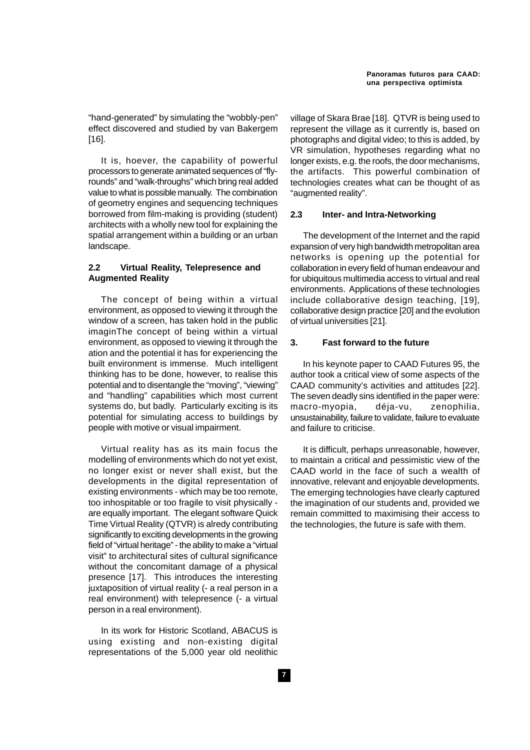"hand-generated" by simulating the "wobbly-pen" effect discovered and studied by van Bakergem [16].

It is, hoever, the capability of powerful processors to generate animated sequences of "flyrounds" and "walk-throughs" which bring real added value to what is possible manually. The combination of geometry engines and sequencing techniques borrowed from film-making is providing (student) architects with a wholly new tool for explaining the spatial arrangement within a building or an urban landscape.

### **2.2 Virtual Reality, Telepresence and Augmented Reality**

The concept of being within a virtual environment, as opposed to viewing it through the window of a screen, has taken hold in the public imaginThe concept of being within a virtual environment, as opposed to viewing it through the ation and the potential it has for experiencing the built environment is immense. Much intelligent thinking has to be done, however, to realise this potential and to disentangle the "moving", "viewing" and "handling" capabilities which most current systems do, but badly. Particularly exciting is its potential for simulating access to buildings by people with motive or visual impairment.

Virtual reality has as its main focus the modelling of environments which do not yet exist, no longer exist or never shall exist, but the developments in the digital representation of existing environments - which may be too remote, too inhospitable or too fragile to visit physically are equally important. The elegant software Quick Time Virtual Reality (QTVR) is alredy contributing significantly to exciting developments in the growing field of "virtual heritage" - the ability to make a "virtual visit" to architectural sites of cultural significance without the concomitant damage of a physical presence [17]. This introduces the interesting juxtaposition of virtual reality (- a real person in a real environment) with telepresence (- a virtual person in a real environment).

In its work for Historic Scotland, ABACUS is using existing and non-existing digital representations of the 5,000 year old neolithic village of Skara Brae [18]. QTVR is being used to represent the village as it currently is, based on photographs and digital video; to this is added, by VR simulation, hypotheses regarding what no longer exists, e.g. the roofs, the door mechanisms, the artifacts. This powerful combination of technologies creates what can be thought of as "augmented reality".

## **2.3 Inter- and Intra-Networking**

The development of the Internet and the rapid expansion of very high bandwidth metropolitan area networks is opening up the potential for collaboration in every field of human endeavour and for ubiquitous multimedia access to virtual and real environments. Applications of these technologies include collaborative design teaching, [19], collaborative design practice [20] and the evolution of virtual universities [21].

### **3. Fast forward to the future**

In his keynote paper to CAAD Futures 95, the author took a critical view of some aspects of the CAAD community's activities and attitudes [22]. The seven deadly sins identified in the paper were: macro-myopia, déja-vu, zenophilia, unsustainability, failure to validate, failure to evaluate and failure to criticise.

It is difficult, perhaps unreasonable, however, to maintain a critical and pessimistic view of the CAAD world in the face of such a wealth of innovative, relevant and enjoyable developments. The emerging technologies have clearly captured the imagination of our students and, provided we remain committed to maximising their access to the technologies, the future is safe with them.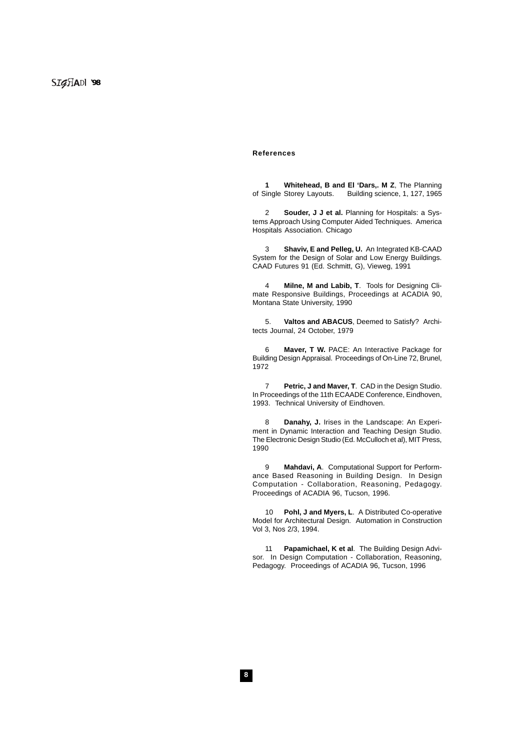#### **References**

**1** Whitehead, **B and El 'Dars,. M Z**, The Planning of Single Storey Layouts. Building science, 1, 127, 1965 Building science, 1, 127, 1965

2 **Souder, J J et al.** Planning for Hospitals: a Systems Approach Using Computer Aided Techniques. America Hospitals Association. Chicago

3 **Shaviv, E and Pelleg, U.** An Integrated KB-CAAD System for the Design of Solar and Low Energy Buildings. CAAD Futures 91 (Ed. Schmitt, G), Vieweg, 1991

4 **Milne, M and Labib, T**. Tools for Designing Climate Responsive Buildings, Proceedings at ACADIA 90, Montana State University, 1990

5. **Valtos and ABACUS**, Deemed to Satisfy? Architects Journal, 24 October, 1979

6 **Maver, T W.** PACE: An Interactive Package for Building Design Appraisal. Proceedings of On-Line 72, Brunel, 1972

7 **Petric, J and Maver, T**. CAD in the Design Studio. In Proceedings of the 11th ECAADE Conference, Eindhoven, 1993. Technical University of Eindhoven.

8 **Danahy, J.** Irises in the Landscape: An Experiment in Dynamic Interaction and Teaching Design Studio. The Electronic Design Studio (Ed. McCulloch et al), MIT Press, 1990

9 **Mahdavi, A**. Computational Support for Performance Based Reasoning in Building Design. In Design Computation - Collaboration, Reasoning, Pedagogy. Proceedings of ACADIA 96, Tucson, 1996.

10 **Pohl, J and Myers, L**. A Distributed Co-operative Model for Architectural Design. Automation in Construction Vol 3, Nos 2/3, 1994.

11 **Papamichael, K et al**. The Building Design Advisor. In Design Computation - Collaboration, Reasoning, Pedagogy. Proceedings of ACADIA 96, Tucson, 1996